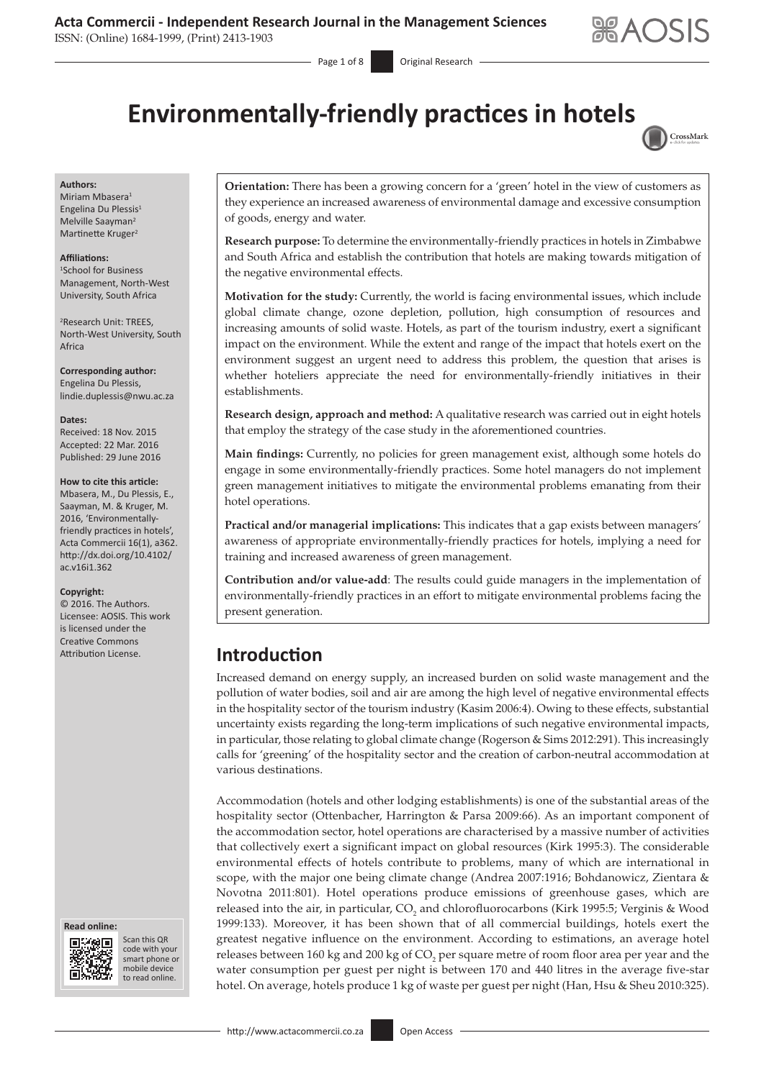# **Acta Commercii - Independent Research Journal in the Management Sciences**

ISSN: (Online) 1684-1999, (Print) 2413-1903

Page 1 of 8 **Original Research** 



# **Environmentally-friendly practices in hotels**



#### **Authors:**

Miriam Mbasera<sup>1</sup> Engelina Du Plessis<sup>1</sup> Melville Saayman2 Martinette Kruger<sup>2</sup>

#### **Affiliations:**

1 School for Business Management, North-West University, South Africa

2 Research Unit: TREES, North-West University, South Africa

**Corresponding author:** Engelina Du Plessis, [lindie.duplessis@nwu.ac.za](mailto:lindie.duplessis@nwu.ac.za)

**Dates:** Received: 18 Nov. 2015 Accepted: 22 Mar. 2016 Published: 29 June 2016

#### **How to cite this article:**

Mbasera, M., Du Plessis, E., Saayman, M. & Kruger, M. 2016, 'Environmentallyfriendly practices in hotels', Acta Commercii 16(1), a362. [http://dx.doi.org/10.4102/](http://dx.doi.org/10.4102/ac.v16i1.362) [ac.v16i1.362](http://dx.doi.org/10.4102/ac.v16i1.362)

#### **Copyright:**

© 2016. The Authors. Licensee: AOSIS. This work is licensed under the Creative Commons





Scan this QR Scan this QR<br>code with your smart phone or smart phone or mobile mobile device to read online. to read online.

**Orientation:** There has been a growing concern for a 'green' hotel in the view of customers as they experience an increased awareness of environmental damage and excessive consumption of goods, energy and water.

**Research purpose:** To determine the environmentally-friendly practices in hotels in Zimbabwe and South Africa and establish the contribution that hotels are making towards mitigation of the negative environmental effects.

**Motivation for the study:** Currently, the world is facing environmental issues, which include global climate change, ozone depletion, pollution, high consumption of resources and increasing amounts of solid waste. Hotels, as part of the tourism industry, exert a significant impact on the environment. While the extent and range of the impact that hotels exert on the environment suggest an urgent need to address this problem, the question that arises is whether hoteliers appreciate the need for environmentally-friendly initiatives in their establishments.

**Research design, approach and method:** A qualitative research was carried out in eight hotels that employ the strategy of the case study in the aforementioned countries.

**Main findings:** Currently, no policies for green management exist, although some hotels do engage in some environmentally-friendly practices. Some hotel managers do not implement green management initiatives to mitigate the environmental problems emanating from their hotel operations.

**Practical and/or managerial implications:** This indicates that a gap exists between managers' awareness of appropriate environmentally-friendly practices for hotels, implying a need for training and increased awareness of green management.

**Contribution and/or value-add**: The results could guide managers in the implementation of environmentally-friendly practices in an effort to mitigate environmental problems facing the present generation.

# Attribution License. **Introduction**

Increased demand on energy supply, an increased burden on solid waste management and the pollution of water bodies, soil and air are among the high level of negative environmental effects in the hospitality sector of the tourism industry (Kasim 2006:4). Owing to these effects, substantial uncertainty exists regarding the long-term implications of such negative environmental impacts, in particular, those relating to global climate change (Rogerson & Sims 2012:291). This increasingly calls for 'greening' of the hospitality sector and the creation of carbon-neutral accommodation at various destinations.

Accommodation (hotels and other lodging establishments) is one of the substantial areas of the hospitality sector (Ottenbacher, Harrington & Parsa 2009:66). As an important component of the accommodation sector, hotel operations are characterised by a massive number of activities that collectively exert a significant impact on global resources (Kirk 1995:3). The considerable environmental effects of hotels contribute to problems, many of which are international in scope, with the major one being climate change (Andrea 2007:1916; Bohdanowicz, Zientara & Novotna 2011:801). Hotel operations produce emissions of greenhouse gases, which are released into the air, in particular,  $CO_2$  and chlorofluorocarbons (Kirk 1995:5; Verginis & Wood 1999:133). Moreover, it has been shown that of all commercial buildings, hotels exert the greatest negative influence on the environment. According to estimations, an average hotel releases between 160 kg and 200 kg of  $\mathrm{CO}_2$  per square metre of room floor area per year and the water consumption per guest per night is between 170 and 440 litres in the average five-star hotel. On average, hotels produce 1 kg of waste per guest per night (Han, Hsu & Sheu 2010:325).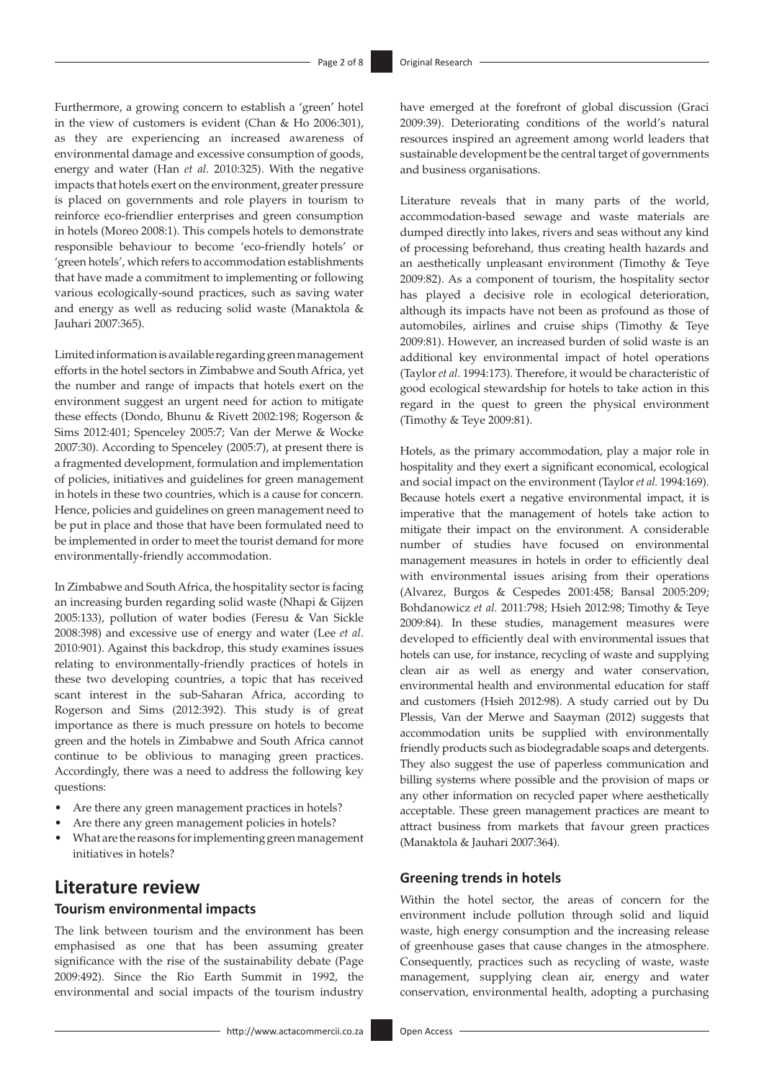Furthermore, a growing concern to establish a 'green' hotel in the view of customers is evident (Chan & Ho 2006:301), as they are experiencing an increased awareness of environmental damage and excessive consumption of goods, energy and water (Han *et al.* 2010:325). With the negative impacts that hotels exert on the environment, greater pressure is placed on governments and role players in tourism to reinforce eco-friendlier enterprises and green consumption in hotels (Moreo 2008:1). This compels hotels to demonstrate responsible behaviour to become 'eco-friendly hotels' or 'green hotels', which refers to accommodation establishments that have made a commitment to implementing or following various ecologically-sound practices, such as saving water and energy as well as reducing solid waste (Manaktola & Jauhari 2007:365).

Limited information is available regarding green management efforts in the hotel sectors in Zimbabwe and South Africa, yet the number and range of impacts that hotels exert on the environment suggest an urgent need for action to mitigate these effects (Dondo, Bhunu & Rivett 2002:198; Rogerson & Sims 2012:401; Spenceley 2005:7; Van der Merwe & Wocke 2007:30). According to Spenceley (2005:7), at present there is a fragmented development, formulation and implementation of policies, initiatives and guidelines for green management in hotels in these two countries, which is a cause for concern. Hence, policies and guidelines on green management need to be put in place and those that have been formulated need to be implemented in order to meet the tourist demand for more environmentally-friendly accommodation.

In Zimbabwe and South Africa, the hospitality sector is facing an increasing burden regarding solid waste (Nhapi & Gijzen 2005:133), pollution of water bodies (Feresu & Van Sickle 2008:398) and excessive use of energy and water (Lee *et al*. 2010:901). Against this backdrop, this study examines issues relating to environmentally-friendly practices of hotels in these two developing countries, a topic that has received scant interest in the sub-Saharan Africa, according to Rogerson and Sims (2012:392). This study is of great importance as there is much pressure on hotels to become green and the hotels in Zimbabwe and South Africa cannot continue to be oblivious to managing green practices. Accordingly, there was a need to address the following key questions:

- Are there any green management practices in hotels?
- Are there any green management policies in hotels?
- What are the reasons for implementing green management initiatives in hotels?

# **Literature review**

### **Tourism environmental impacts**

The link between tourism and the environment has been emphasised as one that has been assuming greater significance with the rise of the sustainability debate (Page 2009:492). Since the Rio Earth Summit in 1992, the environmental and social impacts of the tourism industry

have emerged at the forefront of global discussion (Graci 2009:39). Deteriorating conditions of the world's natural resources inspired an agreement among world leaders that sustainable development be the central target of governments and business organisations.

Literature reveals that in many parts of the world, accommodation-based sewage and waste materials are dumped directly into lakes, rivers and seas without any kind of processing beforehand, thus creating health hazards and an aesthetically unpleasant environment (Timothy & Teye 2009:82). As a component of tourism, the hospitality sector has played a decisive role in ecological deterioration, although its impacts have not been as profound as those of automobiles, airlines and cruise ships (Timothy & Teye 2009:81). However, an increased burden of solid waste is an additional key environmental impact of hotel operations (Taylor *et al*. 1994:173). Therefore, it would be characteristic of good ecological stewardship for hotels to take action in this regard in the quest to green the physical environment (Timothy & Teye 2009:81).

Hotels, as the primary accommodation, play a major role in hospitality and they exert a significant economical, ecological and social impact on the environment (Taylor *et al.* 1994:169). Because hotels exert a negative environmental impact, it is imperative that the management of hotels take action to mitigate their impact on the environment. A considerable number of studies have focused on environmental management measures in hotels in order to efficiently deal with environmental issues arising from their operations (Alvarez, Burgos & Cespedes 2001:458; Bansal 2005:209; Bohdanowicz *et al.* 2011:798; Hsieh 2012:98; Timothy & Teye 2009:84). In these studies, management measures were developed to efficiently deal with environmental issues that hotels can use, for instance, recycling of waste and supplying clean air as well as energy and water conservation, environmental health and environmental education for staff and customers (Hsieh 2012:98). A study carried out by Du Plessis, Van der Merwe and Saayman (2012) suggests that accommodation units be supplied with environmentally friendly products such as biodegradable soaps and detergents. They also suggest the use of paperless communication and billing systems where possible and the provision of maps or any other information on recycled paper where aesthetically acceptable. These green management practices are meant to attract business from markets that favour green practices (Manaktola & Jauhari 2007:364).

#### **Greening trends in hotels**

Within the hotel sector, the areas of concern for the environment include pollution through solid and liquid waste, high energy consumption and the increasing release of greenhouse gases that cause changes in the atmosphere. Consequently, practices such as recycling of waste, waste management, supplying clean air, energy and water conservation, environmental health, adopting a purchasing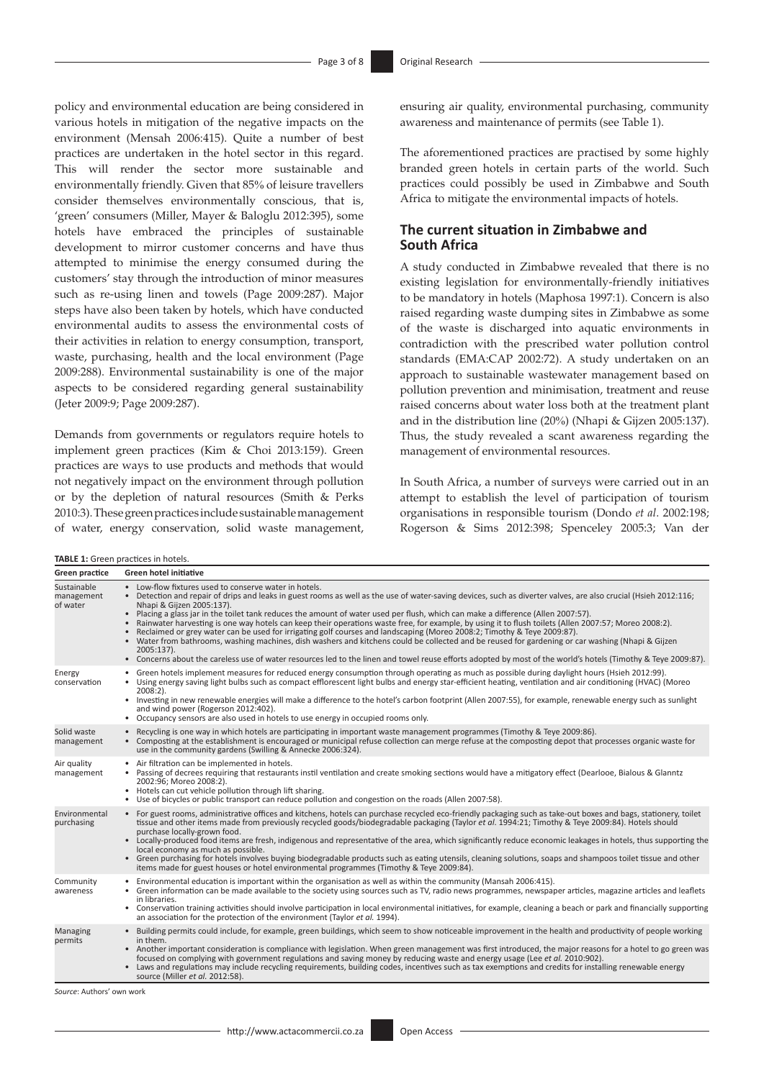policy and environmental education are being considered in various hotels in mitigation of the negative impacts on the environment (Mensah 2006:415). Quite a number of best practices are undertaken in the hotel sector in this regard. This will render the sector more sustainable and environmentally friendly. Given that 85% of leisure travellers consider themselves environmentally conscious, that is, 'green' consumers (Miller, Mayer & Baloglu 2012:395), some hotels have embraced the principles of sustainable development to mirror customer concerns and have thus attempted to minimise the energy consumed during the customers' stay through the introduction of minor measures such as re-using linen and towels (Page 2009:287). Major steps have also been taken by hotels, which have conducted environmental audits to assess the environmental costs of their activities in relation to energy consumption, transport, waste, purchasing, health and the local environment (Page 2009:288). Environmental sustainability is one of the major aspects to be considered regarding general sustainability (Jeter 2009:9; Page 2009:287).

Demands from governments or regulators require hotels to implement green practices (Kim & Choi 2013:159). Green practices are ways to use products and methods that would not negatively impact on the environment through pollution or by the depletion of natural resources (Smith & Perks 2010:3). These green practices include sustainable management of water, energy conservation, solid waste management,

ensuring air quality, environmental purchasing, community awareness and maintenance of permits (see Table 1).

The aforementioned practices are practised by some highly branded green hotels in certain parts of the world. Such practices could possibly be used in Zimbabwe and South Africa to mitigate the environmental impacts of hotels.

### **The current situation in Zimbabwe and South Africa**

A study conducted in Zimbabwe revealed that there is no existing legislation for environmentally-friendly initiatives to be mandatory in hotels (Maphosa 1997:1). Concern is also raised regarding waste dumping sites in Zimbabwe as some of the waste is discharged into aquatic environments in contradiction with the prescribed water pollution control standards (EMA:CAP 2002:72). A study undertaken on an approach to sustainable wastewater management based on pollution prevention and minimisation, treatment and reuse raised concerns about water loss both at the treatment plant and in the distribution line (20%) (Nhapi & Gijzen 2005:137). Thus, the study revealed a scant awareness regarding the management of environmental resources.

In South Africa, a number of surveys were carried out in an attempt to establish the level of participation of tourism organisations in responsible tourism (Dondo *et al*. 2002:198; Rogerson & Sims 2012:398; Spenceley 2005:3; Van der

**TABLE 1:** Green practices in hotels.

| Green practice                        | <b>Green hotel initiative</b>                                                                                                                                                                                                                                                                                                                                                                                                                                                                                                                                                                                                                                                                                                                                                                                                                                                                                                                                                                                                     |  |  |  |
|---------------------------------------|-----------------------------------------------------------------------------------------------------------------------------------------------------------------------------------------------------------------------------------------------------------------------------------------------------------------------------------------------------------------------------------------------------------------------------------------------------------------------------------------------------------------------------------------------------------------------------------------------------------------------------------------------------------------------------------------------------------------------------------------------------------------------------------------------------------------------------------------------------------------------------------------------------------------------------------------------------------------------------------------------------------------------------------|--|--|--|
| Sustainable<br>management<br>of water | • Low-flow fixtures used to conserve water in hotels.<br>• Detection and repair of drips and leaks in guest rooms as well as the use of water-saving devices, such as diverter valves, are also crucial (Hsieh 2012:116;<br>Nhapi & Gijzen 2005:137).<br>. Placing a glass jar in the toilet tank reduces the amount of water used per flush, which can make a difference (Allen 2007:57).<br>Rainwater harvesting is one way hotels can keep their operations waste free, for example, by using it to flush toilets (Allen 2007:57; Moreo 2008:2).<br>$\bullet$<br>• Reclaimed or grey water can be used for irrigating golf courses and landscaping (Moreo 2008:2; Timothy & Teye 2009:87).<br>• Water from bathrooms, washing machines, dish washers and kitchens could be collected and be reused for gardening or car washing (Nhapi & Gijzen<br>2005:137).<br>• Concerns about the careless use of water resources led to the linen and towel reuse efforts adopted by most of the world's hotels (Timothy & Teye 2009:87). |  |  |  |
| Energy<br>conservation                | • Green hotels implement measures for reduced energy consumption through operating as much as possible during daylight hours (Hsieh 2012:99).<br>• Using energy saving light bulbs such as compact efflorescent light bulbs and energy star-efficient heating, ventilation and air conditioning (HVAC) (Moreo<br>$2008:2$ ).<br>• Investing in new renewable energies will make a difference to the hotel's carbon footprint (Allen 2007:55), for example, renewable energy such as sunlight<br>and wind power (Rogerson 2012:402).<br>• Occupancy sensors are also used in hotels to use energy in occupied rooms only.                                                                                                                                                                                                                                                                                                                                                                                                          |  |  |  |
| Solid waste<br>management             | • Recycling is one way in which hotels are participating in important waste management programmes (Timothy & Teye 2009:86).<br>• Composting at the establishment is encouraged or municipal refuse collection can merge refuse at the composting depot that processes organic waste for<br>use in the community gardens (Swilling & Annecke 2006:324).                                                                                                                                                                                                                                                                                                                                                                                                                                                                                                                                                                                                                                                                            |  |  |  |
| Air quality<br>management             | Air filtration can be implemented in hotels.<br>$\bullet$<br>• Passing of decrees requiring that restaurants instil ventilation and create smoking sections would have a mitigatory effect (Dearlooe, Bialous & Glanntz<br>2002:96; Moreo 2008:2).<br>• Hotels can cut vehicle pollution through lift sharing.<br>• Use of bicycles or public transport can reduce pollution and congestion on the roads (Allen 2007:58).                                                                                                                                                                                                                                                                                                                                                                                                                                                                                                                                                                                                         |  |  |  |
| Environmental<br>purchasing           | • For guest rooms, administrative offices and kitchens, hotels can purchase recycled eco-friendly packaging such as take-out boxes and bags, stationery, toilet<br>tissue and other items made from previously recycled goods/biodegradable packaging (Taylor et al. 1994:21; Timothy & Teye 2009:84). Hotels should<br>purchase locally-grown food.<br>• Locally-produced food items are fresh, indigenous and representative of the area, which significantly reduce economic leakages in hotels, thus supporting the<br>local economy as much as possible.<br>• Green purchasing for hotels involves buying biodegradable products such as eating utensils, cleaning solutions, soaps and shampoos toilet tissue and other<br>items made for guest houses or hotel environmental programmes (Timothy & Teye 2009:84).                                                                                                                                                                                                          |  |  |  |
| Community<br>awareness                | Environmental education is important within the organisation as well as within the community (Mansah 2006:415).<br>• Green information can be made available to the society using sources such as TV, radio news programmes, newspaper articles, magazine articles and leaflets<br>in libraries.<br>• Conservation training activities should involve participation in local environmental initiatives, for example, cleaning a beach or park and financially supporting<br>an association for the protection of the environment (Taylor et al. 1994).                                                                                                                                                                                                                                                                                                                                                                                                                                                                            |  |  |  |
| Managing<br>permits                   | • Building permits could include, for example, green buildings, which seem to show noticeable improvement in the health and productivity of people working<br>in them.<br>• Another important consideration is compliance with legislation. When green management was first introduced, the major reasons for a hotel to go green was<br>focused on complying with government regulations and saving money by reducing waste and energy usage (Lee et al. 2010:902).<br>• Laws and regulations may include recycling requirements, building codes, incentives such as tax exemptions and credits for installing renewable energy<br>source (Miller et al. 2012:58).                                                                                                                                                                                                                                                                                                                                                               |  |  |  |

*Source*: Authors' own work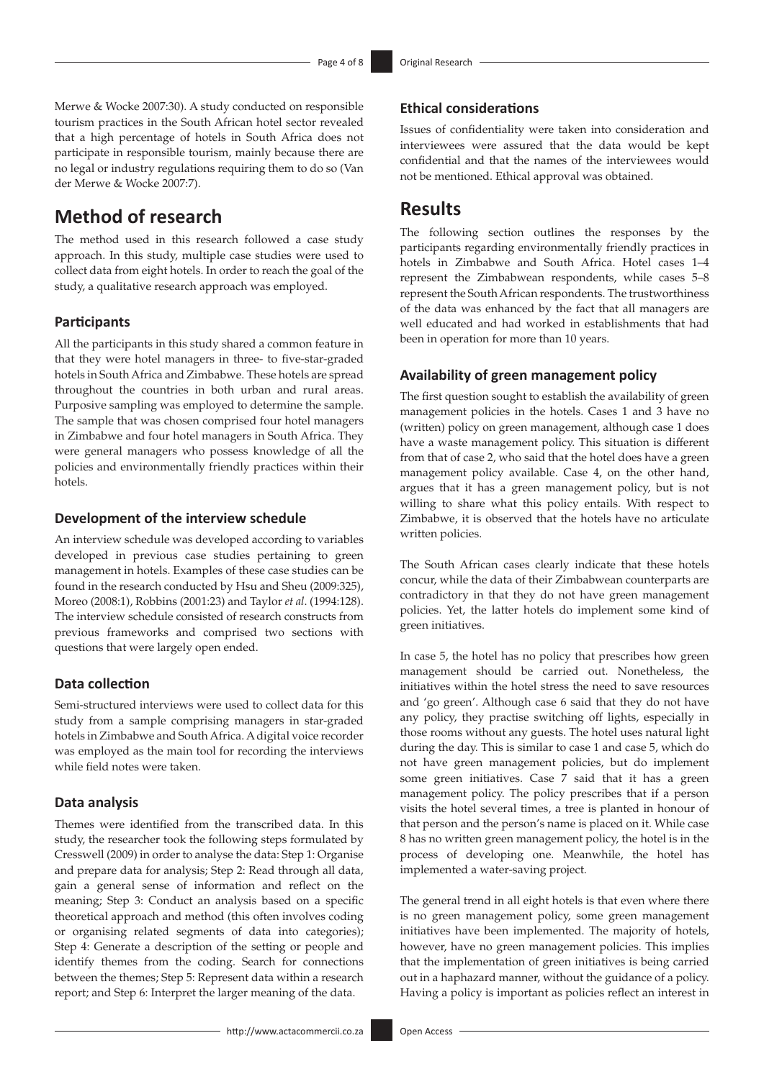**Ethical considerations**

Merwe & Wocke 2007:30). A study conducted on responsible tourism practices in the South African hotel sector revealed that a high percentage of hotels in South Africa does not participate in responsible tourism, mainly because there are no legal or industry regulations requiring them to do so (Van der Merwe & Wocke 2007:7).

# **Method of research**

The method used in this research followed a case study approach. In this study, multiple case studies were used to collect data from eight hotels. In order to reach the goal of the study, a qualitative research approach was employed.

#### **Participants**

All the participants in this study shared a common feature in that they were hotel managers in three- to five-star-graded hotels in South Africa and Zimbabwe. These hotels are spread throughout the countries in both urban and rural areas. Purposive sampling was employed to determine the sample. The sample that was chosen comprised four hotel managers in Zimbabwe and four hotel managers in South Africa. They were general managers who possess knowledge of all the policies and environmentally friendly practices within their hotels.

### **Development of the interview schedule**

An interview schedule was developed according to variables developed in previous case studies pertaining to green management in hotels. Examples of these case studies can be found in the research conducted by Hsu and Sheu (2009:325), Moreo (2008:1), Robbins (2001:23) and Taylor *et al*. (1994:128). The interview schedule consisted of research constructs from previous frameworks and comprised two sections with questions that were largely open ended.

### **Data collection**

Semi-structured interviews were used to collect data for this study from a sample comprising managers in star-graded hotels in Zimbabwe and South Africa. A digital voice recorder was employed as the main tool for recording the interviews while field notes were taken.

#### **Data analysis**

Themes were identified from the transcribed data. In this study, the researcher took the following steps formulated by Cresswell (2009) in order to analyse the data: Step 1: Organise and prepare data for analysis; Step 2: Read through all data, gain a general sense of information and reflect on the meaning; Step 3: Conduct an analysis based on a specific theoretical approach and method (this often involves coding or organising related segments of data into categories); Step 4: Generate a description of the setting or people and identify themes from the coding. Search for connections between the themes; Step 5: Represent data within a research report; and Step 6: Interpret the larger meaning of the data.

Issues of confidentiality were taken into consideration and interviewees were assured that the data would be kept confidential and that the names of the interviewees would not be mentioned. Ethical approval was obtained.

### **Results**

The following section outlines the responses by the participants regarding environmentally friendly practices in hotels in Zimbabwe and South Africa. Hotel cases 1–4 represent the Zimbabwean respondents, while cases 5–8 represent the South African respondents. The trustworthiness of the data was enhanced by the fact that all managers are well educated and had worked in establishments that had been in operation for more than 10 years.

#### **Availability of green management policy**

The first question sought to establish the availability of green management policies in the hotels. Cases 1 and 3 have no (written) policy on green management, although case 1 does have a waste management policy. This situation is different from that of case 2, who said that the hotel does have a green management policy available. Case 4, on the other hand, argues that it has a green management policy, but is not willing to share what this policy entails. With respect to Zimbabwe, it is observed that the hotels have no articulate written policies.

The South African cases clearly indicate that these hotels concur, while the data of their Zimbabwean counterparts are contradictory in that they do not have green management policies. Yet, the latter hotels do implement some kind of green initiatives.

In case 5, the hotel has no policy that prescribes how green management should be carried out. Nonetheless, the initiatives within the hotel stress the need to save resources and 'go green'. Although case 6 said that they do not have any policy, they practise switching off lights, especially in those rooms without any guests. The hotel uses natural light during the day. This is similar to case 1 and case 5, which do not have green management policies, but do implement some green initiatives. Case 7 said that it has a green management policy. The policy prescribes that if a person visits the hotel several times, a tree is planted in honour of that person and the person's name is placed on it. While case 8 has no written green management policy, the hotel is in the process of developing one. Meanwhile, the hotel has implemented a water-saving project.

The general trend in all eight hotels is that even where there is no green management policy, some green management initiatives have been implemented. The majority of hotels, however, have no green management policies. This implies that the implementation of green initiatives is being carried out in a haphazard manner, without the guidance of a policy. Having a policy is important as policies reflect an interest in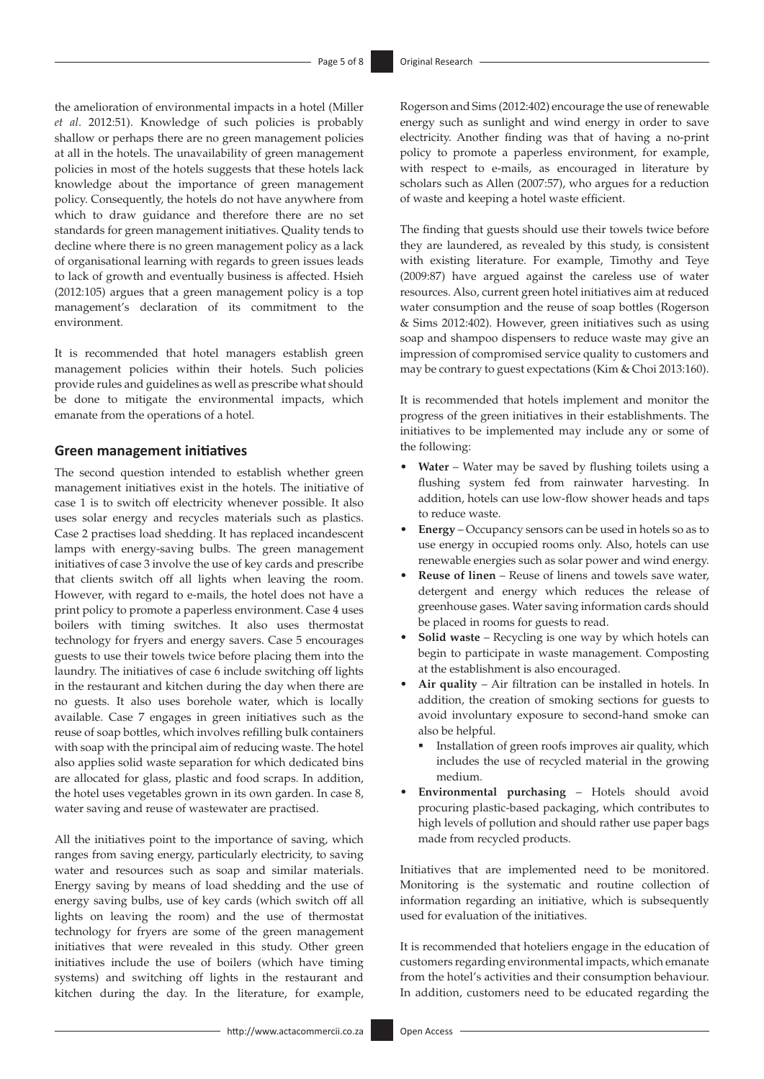the amelioration of environmental impacts in a hotel (Miller *et al*. 2012:51). Knowledge of such policies is probably shallow or perhaps there are no green management policies at all in the hotels. The unavailability of green management policies in most of the hotels suggests that these hotels lack knowledge about the importance of green management policy. Consequently, the hotels do not have anywhere from which to draw guidance and therefore there are no set standards for green management initiatives. Quality tends to decline where there is no green management policy as a lack of organisational learning with regards to green issues leads to lack of growth and eventually business is affected. Hsieh (2012:105) argues that a green management policy is a top management's declaration of its commitment to the environment.

It is recommended that hotel managers establish green management policies within their hotels. Such policies provide rules and guidelines as well as prescribe what should be done to mitigate the environmental impacts, which emanate from the operations of a hotel.

#### **Green management initiatives**

The second question intended to establish whether green management initiatives exist in the hotels. The initiative of case 1 is to switch off electricity whenever possible. It also uses solar energy and recycles materials such as plastics. Case 2 practises load shedding. It has replaced incandescent lamps with energy-saving bulbs. The green management initiatives of case 3 involve the use of key cards and prescribe that clients switch off all lights when leaving the room. However, with regard to e-mails, the hotel does not have a print policy to promote a paperless environment. Case 4 uses boilers with timing switches. It also uses thermostat technology for fryers and energy savers. Case 5 encourages guests to use their towels twice before placing them into the laundry. The initiatives of case 6 include switching off lights in the restaurant and kitchen during the day when there are no guests. It also uses borehole water, which is locally available. Case 7 engages in green initiatives such as the reuse of soap bottles, which involves refilling bulk containers with soap with the principal aim of reducing waste. The hotel also applies solid waste separation for which dedicated bins are allocated for glass, plastic and food scraps. In addition, the hotel uses vegetables grown in its own garden. In case 8, water saving and reuse of wastewater are practised.

All the initiatives point to the importance of saving, which ranges from saving energy, particularly electricity, to saving water and resources such as soap and similar materials. Energy saving by means of load shedding and the use of energy saving bulbs, use of key cards (which switch off all lights on leaving the room) and the use of thermostat technology for fryers are some of the green management initiatives that were revealed in this study. Other green initiatives include the use of boilers (which have timing systems) and switching off lights in the restaurant and kitchen during the day. In the literature, for example,

Rogerson and Sims (2012:402) encourage the use of renewable energy such as sunlight and wind energy in order to save electricity. Another finding was that of having a no-print policy to promote a paperless environment, for example, with respect to e-mails, as encouraged in literature by scholars such as Allen (2007:57), who argues for a reduction of waste and keeping a hotel waste efficient.

The finding that guests should use their towels twice before they are laundered, as revealed by this study, is consistent with existing literature. For example, Timothy and Teye (2009:87) have argued against the careless use of water resources. Also, current green hotel initiatives aim at reduced water consumption and the reuse of soap bottles (Rogerson & Sims 2012:402). However, green initiatives such as using soap and shampoo dispensers to reduce waste may give an impression of compromised service quality to customers and may be contrary to guest expectations (Kim & Choi 2013:160).

It is recommended that hotels implement and monitor the progress of the green initiatives in their establishments. The initiatives to be implemented may include any or some of the following:

- Water Water may be saved by flushing toilets using a flushing system fed from rainwater harvesting. In addition, hotels can use low-flow shower heads and taps to reduce waste.
- • **Energy**  Occupancy sensors can be used in hotels so as to use energy in occupied rooms only. Also, hotels can use renewable energies such as solar power and wind energy.
- **Reuse of linen** Reuse of linens and towels save water, detergent and energy which reduces the release of greenhouse gases. Water saving information cards should be placed in rooms for guests to read.
- • **Solid waste**  Recycling is one way by which hotels can begin to participate in waste management. Composting at the establishment is also encouraged.
- Air quality Air filtration can be installed in hotels. In addition, the creation of smoking sections for guests to avoid involuntary exposure to second-hand smoke can also be helpful.
	- ß Installation of green roofs improves air quality, which includes the use of recycled material in the growing medium.
- Environmental purchasing Hotels should avoid procuring plastic-based packaging, which contributes to high levels of pollution and should rather use paper bags made from recycled products.

Initiatives that are implemented need to be monitored. Monitoring is the systematic and routine collection of information regarding an initiative, which is subsequently used for evaluation of the initiatives.

It is recommended that hoteliers engage in the education of customers regarding environmental impacts, which emanate from the hotel's activities and their consumption behaviour. In addition, customers need to be educated regarding the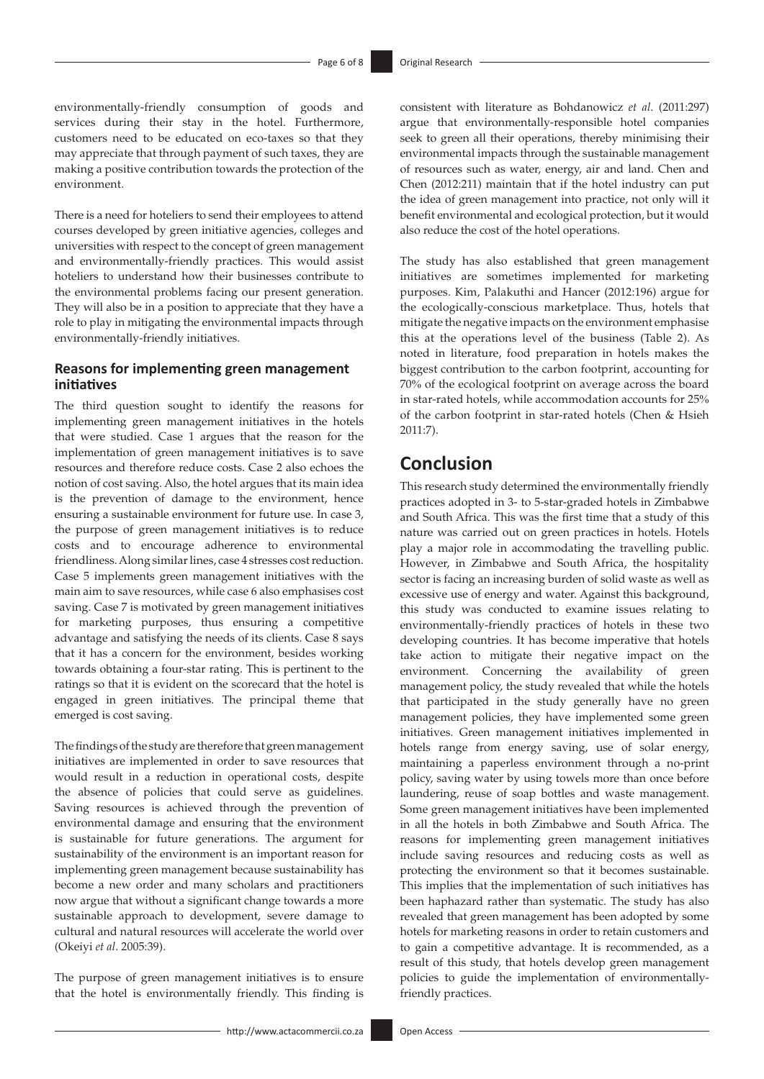environmentally-friendly consumption of goods and services during their stay in the hotel. Furthermore, customers need to be educated on eco-taxes so that they may appreciate that through payment of such taxes, they are making a positive contribution towards the protection of the environment.

There is a need for hoteliers to send their employees to attend courses developed by green initiative agencies, colleges and universities with respect to the concept of green management and environmentally-friendly practices. This would assist hoteliers to understand how their businesses contribute to the environmental problems facing our present generation. They will also be in a position to appreciate that they have a role to play in mitigating the environmental impacts through environmentally-friendly initiatives.

### **Reasons for implementing green management initiatives**

The third question sought to identify the reasons for implementing green management initiatives in the hotels that were studied. Case 1 argues that the reason for the implementation of green management initiatives is to save resources and therefore reduce costs. Case 2 also echoes the notion of cost saving. Also, the hotel argues that its main idea is the prevention of damage to the environment, hence ensuring a sustainable environment for future use. In case 3, the purpose of green management initiatives is to reduce costs and to encourage adherence to environmental friendliness. Along similar lines, case 4 stresses cost reduction. Case 5 implements green management initiatives with the main aim to save resources, while case 6 also emphasises cost saving. Case 7 is motivated by green management initiatives for marketing purposes, thus ensuring a competitive advantage and satisfying the needs of its clients. Case 8 says that it has a concern for the environment, besides working towards obtaining a four-star rating. This is pertinent to the ratings so that it is evident on the scorecard that the hotel is engaged in green initiatives. The principal theme that emerged is cost saving.

The findings of the study are therefore that green management initiatives are implemented in order to save resources that would result in a reduction in operational costs, despite the absence of policies that could serve as guidelines. Saving resources is achieved through the prevention of environmental damage and ensuring that the environment is sustainable for future generations. The argument for sustainability of the environment is an important reason for implementing green management because sustainability has become a new order and many scholars and practitioners now argue that without a significant change towards a more sustainable approach to development, severe damage to cultural and natural resources will accelerate the world over (Okeiyi *et al*. 2005:39).

The purpose of green management initiatives is to ensure that the hotel is environmentally friendly. This finding is

consistent with literature as Bohdanowicz *et al.* (2011:297) argue that environmentally-responsible hotel companies seek to green all their operations, thereby minimising their environmental impacts through the sustainable management of resources such as water, energy, air and land. Chen and Chen (2012:211) maintain that if the hotel industry can put the idea of green management into practice, not only will it benefit environmental and ecological protection, but it would also reduce the cost of the hotel operations.

The study has also established that green management initiatives are sometimes implemented for marketing purposes. Kim, Palakuthi and Hancer (2012:196) argue for the ecologically-conscious marketplace. Thus, hotels that mitigate the negative impacts on the environment emphasise this at the operations level of the business (Table 2). As noted in literature, food preparation in hotels makes the biggest contribution to the carbon footprint, accounting for 70% of the ecological footprint on average across the board in star-rated hotels, while accommodation accounts for 25% of the carbon footprint in star-rated hotels (Chen & Hsieh 2011:7).

### **Conclusion**

This research study determined the environmentally friendly practices adopted in 3- to 5-star-graded hotels in Zimbabwe and South Africa. This was the first time that a study of this nature was carried out on green practices in hotels. Hotels play a major role in accommodating the travelling public. However, in Zimbabwe and South Africa, the hospitality sector is facing an increasing burden of solid waste as well as excessive use of energy and water. Against this background, this study was conducted to examine issues relating to environmentally-friendly practices of hotels in these two developing countries. It has become imperative that hotels take action to mitigate their negative impact on the environment. Concerning the availability of green management policy, the study revealed that while the hotels that participated in the study generally have no green management policies, they have implemented some green initiatives. Green management initiatives implemented in hotels range from energy saving, use of solar energy, maintaining a paperless environment through a no-print policy, saving water by using towels more than once before laundering, reuse of soap bottles and waste management. Some green management initiatives have been implemented in all the hotels in both Zimbabwe and South Africa. The reasons for implementing green management initiatives include saving resources and reducing costs as well as protecting the environment so that it becomes sustainable. This implies that the implementation of such initiatives has been haphazard rather than systematic. The study has also revealed that green management has been adopted by some hotels for marketing reasons in order to retain customers and to gain a competitive advantage. It is recommended, as a result of this study, that hotels develop green management policies to guide the implementation of environmentallyfriendly practices.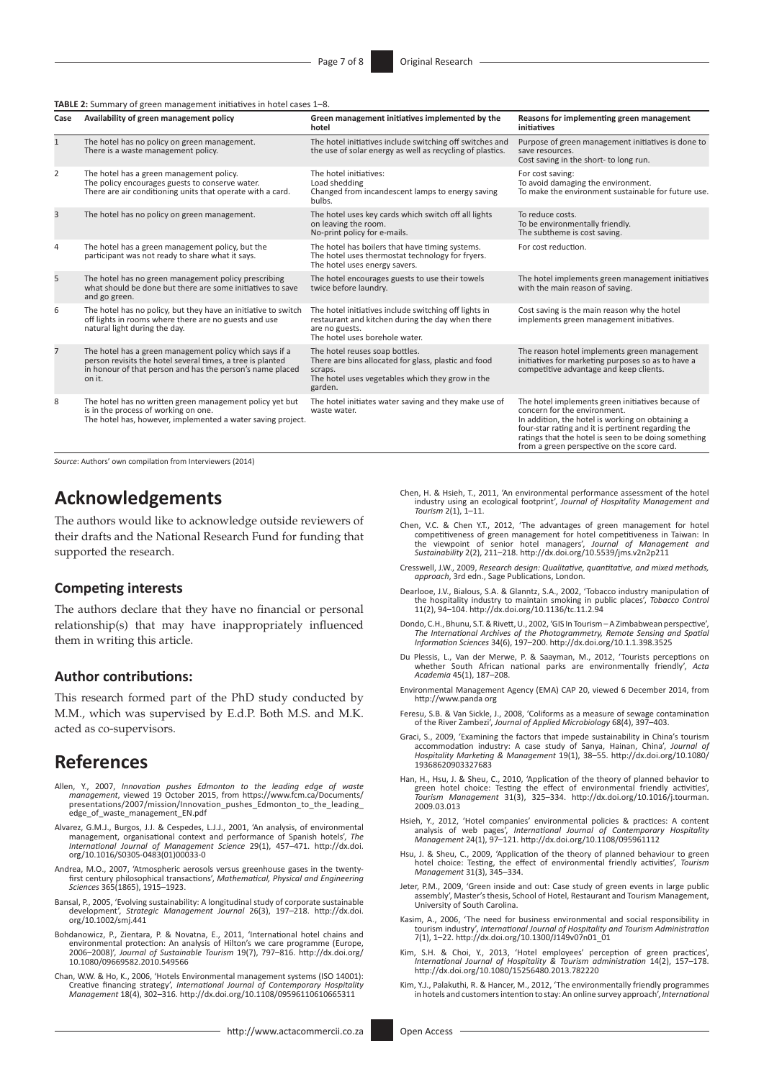**TABLE 2:** Summary of green management initiatives in hotel cases 1–8.

| Case           | Availability of green management policy                                                                                                                                                      | Green management initiatives implemented by the<br>hotel                                                                                                         | Reasons for implementing green management<br>initiatives                                                                                                                                                                                                                                           |
|----------------|----------------------------------------------------------------------------------------------------------------------------------------------------------------------------------------------|------------------------------------------------------------------------------------------------------------------------------------------------------------------|----------------------------------------------------------------------------------------------------------------------------------------------------------------------------------------------------------------------------------------------------------------------------------------------------|
| $\mathbf{1}$   | The hotel has no policy on green management.<br>There is a waste management policy.                                                                                                          | The hotel initiatives include switching off switches and<br>the use of solar energy as well as recycling of plastics.                                            | Purpose of green management initiatives is done to<br>save resources.<br>Cost saving in the short- to long run.                                                                                                                                                                                    |
| 2              | The hotel has a green management policy.<br>The policy encourages guests to conserve water.<br>There are air conditioning units that operate with a card.                                    | The hotel initiatives:<br>Load shedding<br>Changed from incandescent lamps to energy saving<br>bulbs.                                                            | For cost saving:<br>To avoid damaging the environment.<br>To make the environment sustainable for future use.                                                                                                                                                                                      |
| 3              | The hotel has no policy on green management.                                                                                                                                                 | The hotel uses key cards which switch off all lights<br>on leaving the room.<br>No-print policy for e-mails.                                                     | To reduce costs.<br>To be environmentally friendly.<br>The subtheme is cost saving.                                                                                                                                                                                                                |
| 4              | The hotel has a green management policy, but the<br>participant was not ready to share what it says.                                                                                         | The hotel has boilers that have timing systems.<br>The hotel uses thermostat technology for fryers.<br>The hotel uses energy savers.                             | For cost reduction.                                                                                                                                                                                                                                                                                |
| 5              | The hotel has no green management policy prescribing<br>what should be done but there are some initiatives to save<br>and go green.                                                          | The hotel encourages guests to use their towels<br>twice before laundry.                                                                                         | The hotel implements green management initiatives<br>with the main reason of saving.                                                                                                                                                                                                               |
| 6              | The hotel has no policy, but they have an initiative to switch<br>off lights in rooms where there are no guests and use<br>natural light during the day.                                     | The hotel initiatives include switching off lights in<br>restaurant and kitchen during the day when there<br>are no guests.<br>The hotel uses borehole water.    | Cost saving is the main reason why the hotel<br>implements green management initiatives.                                                                                                                                                                                                           |
| $\overline{7}$ | The hotel has a green management policy which says if a<br>person revisits the hotel several times, a tree is planted<br>in honour of that person and has the person's name placed<br>on it. | The hotel reuses soap bottles.<br>There are bins allocated for glass, plastic and food<br>scraps.<br>The hotel uses vegetables which they grow in the<br>garden. | The reason hotel implements green management<br>initiatives for marketing purposes so as to have a<br>competitive advantage and keep clients.                                                                                                                                                      |
| 8              | The hotel has no written green management policy yet but<br>is in the process of working on one.<br>The hotel has, however, implemented a water saving project.                              | The hotel initiates water saving and they make use of<br>waste water.                                                                                            | The hotel implements green initiatives because of<br>concern for the environment.<br>In addition, the hotel is working on obtaining a<br>four-star rating and it is pertinent regarding the<br>ratings that the hotel is seen to be doing something<br>from a green perspective on the score card. |

*Source*: Authors' own compilation from Interviewers (2014)

### **Acknowledgements**

The authors would like to acknowledge outside reviewers of their drafts and the National Research Fund for funding that supported the research.

### **Competing interests**

The authors declare that they have no financial or personal relationship(s) that may have inappropriately influenced them in writing this article.

#### **Author contributions:**

This research formed part of the PhD study conducted by M.M., which was supervised by E.d.P. Both M.S. and M.K. acted as co-supervisors.

### **References**

- Allen, Y., 2007, *Innovation pushes Edmonton to the leading edge of waste management*, viewed 19 October 2015, from [https://www.fcm.ca/Documents/](https://www.fcm.ca/Documents/presentations/2007/mission/Innovation_pushes_Edmonton_to_the_leading_edge_of_waste_management_EN.pdf) [presentations/2007/mission/Innovation\\_pushes\\_Edmonton\\_to\\_the\\_leading\\_](https://www.fcm.ca/Documents/presentations/2007/mission/Innovation_pushes_Edmonton_to_the_leading_edge_of_waste_management_EN.pdf) [edge\\_of\\_waste\\_management\\_EN.pdf](https://www.fcm.ca/Documents/presentations/2007/mission/Innovation_pushes_Edmonton_to_the_leading_edge_of_waste_management_EN.pdf)
- Alvarez, G.M.J., Burgos, J.J. & Cespedes, L.J.J., 2001, 'An analysis, of environmental management, organisational context and performance of Spanish hotels', *The International Journal of Management Science* 29(1), 457–471. [http://dx.doi.](http://dx.doi.org/10.1016/S0305-0483(01)00033-0) [org/10.1016/S0305-0483\(01\)00033-0](http://dx.doi.org/10.1016/S0305-0483(01)00033-0)
- Andrea, M.O., 2007, 'Atmospheric aerosols versus greenhouse gases in the twenty-first century philosophical transactions', *Mathematical, Physical and Engineering Sciences* 365(1865), 1915–1923.
- Bansal, P., 2005, 'Evolving sustainability: A longitudinal study of corporate sustainable development', *Strategic Management Journal* 26(3), 197–218. [http://dx.doi.](http://dx.doi.org/10.1002/smj.441) [org/10.1002/smj.441](http://dx.doi.org/10.1002/smj.441)
- Bohdanowicz, P., Zientara, P. & Novatna, E., 2011, 'International hotel chains and<br>environmental protection: An analysis of Hilton's we care programme (Europe,<br>2006–2008), Journal of Sustainable Tourism 19(7), 797–816. htt [10.1080/09669582.2010.549566](http://dx.doi.org/10.1080/09669582.2010.549566)
- Chan, W.W. & Ho, K., 2006, 'Hotels Environmental management systems (ISO 14001): Creative financing strategy', *International Journal of Contemporary Hospitality Management* 18(4), 302–316.<http://dx.doi.org/10.1108/09596110610665311>
- Chen, H. & Hsieh, T., 2011, 'An environmental performance assessment of the hotel industry using an ecological footprint', *Journal of Hospitality Management and Tourism* 2(1), 1–11.
- Chen, V.C. & Chen Y.T., 2012, 'The advantages of green management for hotel competitiveness of green management for hotel competitiveness in Taiwan: In the viewpoint of senior hotel managers', *Journal of Management and Sustainability* 2(2), 211–218.<http://dx.doi.org/10.5539/jms.v2n2p211>
- Cresswell, J.W., 2009, *Research design: Qualitative, quantitative, and mixed methods, approach*, 3rd edn., Sage Publications, London.
- Dearlooe, J.V., Bialous, S.A. & Glanntz, S.A., 2002, 'Tobacco industry manipulation of the hospitality industry to maintain smoking in public places', *Tobacco Control* 11(2), 94–104. <http://dx.doi.org/10.1136/tc.11.2.94>
- Dondo, C.H., Bhunu, S.T. & Rivett, U., 2002, 'GIS In Tourism A Zimbabwean perspective', *The International Archives of the Photogrammetry, Remote Sensing and Spatial Information Sciences* 34(6), 197–200. <http://dx.doi.org/10.1.1.398.3525>
- Du Plessis, L., Van der Merwe, P. & Saayman, M., 2012, 'Tourists perceptions on whether South African national parks are environmentally friendly', *Acta Academia* 45(1), 187–208.
- Environmental Management Agency (EMA) CAP 20, viewed 6 December 2014, from <http://www.panda org>
- Feresu, S.B. & Van Sickle, J., 2008, 'Coliforms as a measure of sewage contamination of the River Zambezi', *Journal of Applied Microbiology* 68(4), 397–403.
- Graci, S., 2009, 'Examining the factors that impede sustainability in China's tourism accommodation industry: A case study of Sanya, Hainan, China', *Journal of Hospitality Marketing & Management* 19(1), 38–55. [http://dx.doi.org/10.1080/](http://dx.doi.org/10.1080/19368620903327683) [19368620903327683](http://dx.doi.org/10.1080/19368620903327683)
- Han, H., Hsu, J. & Sheu, C., 2010, 'Application of the theory of planned behavior to green hotel choice: Testing the effect of environmental friendly activities', *Tourism Management* 31(3), 325–334. [http://dx.doi.org/10.1016/j.tourman.](http://dx.doi.org/10.1016/j.tourman.2009.03.013) [2009.03.013](http://dx.doi.org/10.1016/j.tourman.2009.03.013)
- Hsieh, Y., 2012, 'Hotel companies' environmental policies & practices: A content analysis of web pages', *International Journal of Contemporary Hospitality Management* 24(1), 97–121.<http://dx.doi.org/10.1108/095961112>
- Hsu, J. & Sheu, C., 2009, 'Application of the theory of planned behaviour to green hotel choice: Testing, the effect of environmental friendly activities', *Tourism Management* 31(3), 345–334.
- Jeter, P.M., 2009, 'Green inside and out: Case study of green events in large public assembly', Master's thesis, School of Hotel, Restaurant and Tourism Management, University of South Carolina.
- Kasim, A., 2006, 'The need for business environmental and social responsibility in tourism industry', *International Journal of Hospitality and Tourism Administration* 7(1), 1–22. [http://dx.doi.org/10.1300/J149v07n01\\_01](http://dx.doi.org/10.1300/J149v07n01_01)
- Kim, S.H. & Choi, Y., 2013, 'Hotel employees' perception of green practices', *International Journal of Hospitality & Tourism administration* 14(2), 157–178. <http://dx.doi.org/10.1080/15256480.2013.782220>
- Kim, Y.J., Palakuthi, R. & Hancer, M., 2012, 'The environmentally friendly programmes in hotels and customers intention to stay: An online survey approach', *International*